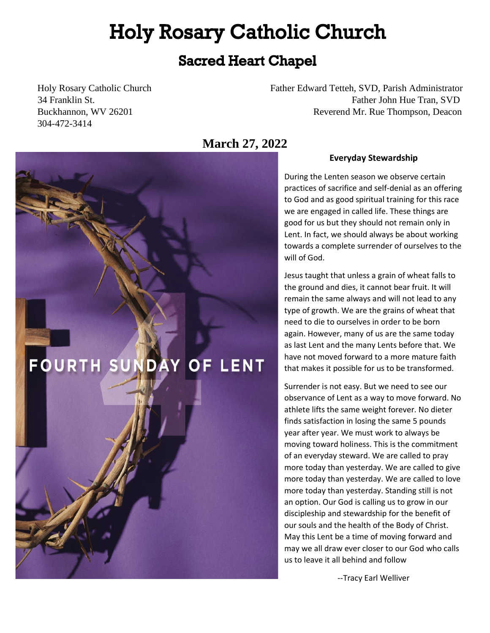# **Holy Rosary Catholic Church**

### **Sacred Heart Chapel**

304-472-3414

**FOURTH SUND** 

Holy Rosary Catholic Church Father Edward Tetteh, SVD, Parish Administrator 34 Franklin St. **Franklin St.** Father John Hue Tran, SVD **Father John Hue Tran, SVD** Buckhannon, WV 26201 **Reverend Mr. Rue Thompson, Deacon** 

**March 27, 2022** 

**OF LENT** 

#### **Everyday Stewardship**

During the Lenten season we observe certain practices of sacrifice and self-denial as an offering to God and as good spiritual training for this race we are engaged in called life. These things are good for us but they should not remain only in Lent. In fact, we should always be about working towards a complete surrender of ourselves to the will of God.

Jesus taught that unless a grain of wheat falls to the ground and dies, it cannot bear fruit. It will remain the same always and will not lead to any type of growth. We are the grains of wheat that need to die to ourselves in order to be born again. However, many of us are the same today as last Lent and the many Lents before that. We have not moved forward to a more mature faith that makes it possible for us to be transformed.

Surrender is not easy. But we need to see our observance of Lent as a way to move forward. No athlete lifts the same weight forever. No dieter finds satisfaction in losing the same 5 pounds year after year. We must work to always be moving toward holiness. This is the commitment of an everyday steward. We are called to pray more today than yesterday. We are called to give more today than yesterday. We are called to love more today than yesterday. Standing still is not an option. Our God is calling us to grow in our discipleship and stewardship for the benefit of our souls and the health of the Body of Christ. May this Lent be a time of moving forward and may we all draw ever closer to our God who calls us to leave it all behind and follow

--Tracy Earl Welliver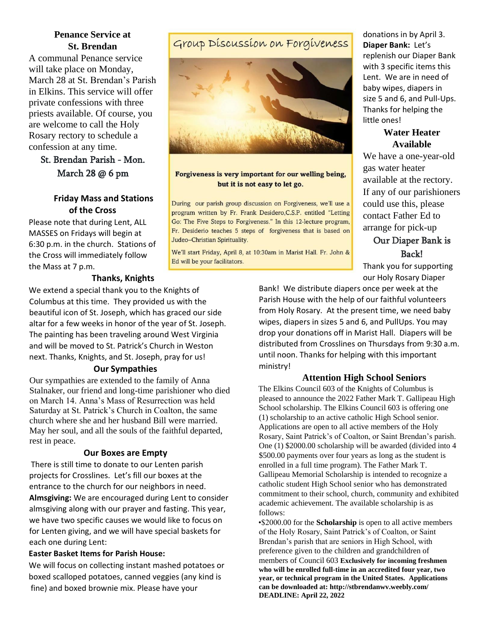#### **Penance Service at St. Brendan**

A communal Penance service will take place on Monday, March 28 at St. Brendan's Parish in Elkins. This service will offer private confessions with three priests available. Of course, you are welcome to call the Holy Rosary rectory to schedule a confession at any time.

#### St. Brendan Parish - Mon. March 28 @ 6 pm

#### **Friday Mass and Stations of the Cross**

Please note that during Lent, ALL MASSES on Fridays will begin at 6:30 p.m. in the church. Stations of the Cross will immediately follow the Mass at 7 p.m.

#### **Thanks, Knights**

We extend a special thank you to the Knights of Columbus at this time. They provided us with the beautiful icon of St. Joseph, which has graced our side altar for a few weeks in honor of the year of St. Joseph. The painting has been traveling around West Virginia and will be moved to St. Patrick's Church in Weston next. Thanks, Knights, and St. Joseph, pray for us!

#### **Our Sympathies**

Our sympathies are extended to the family of Anna Stalnaker, our friend and long-time parishioner who died on March 14. Anna's Mass of Resurrection was held Saturday at St. Patrick's Church in Coalton, the same church where she and her husband Bill were married. May her soul, and all the souls of the faithful departed, rest in peace.

#### **Our Boxes are Empty**

There is still time to donate to our Lenten parish projects for Crosslines. Let's fill our boxes at the entrance to the church for our neighbors in need. **Almsgiving:** We are encouraged during Lent to consider almsgiving along with our prayer and fasting. This year, we have two specific causes we would like to focus on for Lenten giving, and we will have special baskets for each one during Lent:

#### **Easter Basket Items for Parish House:**

We will focus on collecting instant mashed potatoes or boxed scalloped potatoes, canned veggies (any kind is fine) and boxed brownie mix. Please have your

### Group Discussion on Forgiveness



#### Forgiveness is very important for our welling being, but it is not easy to let go.

During our parish group discussion on Forgiveness, we'll use a program written by Fr. Frank Desidero, C.S.P. entitled "Letting Go: The Five Steps to Forgiveness." In this 12-lecture program, Fr. Desiderio teaches 5 steps of forgiveness that is based on Judeo-Christian Spirituality.

We'll start Friday, April 8, at 10:30am in Marist Hall. Fr. John & Ed will be your facilitators.

donations in by April 3. **Diaper Bank:** Let's replenish our Diaper Bank with 3 specific items this Lent. We are in need of baby wipes, diapers in size 5 and 6, and Pull-Ups. Thanks for helping the little ones!

#### **Water Heater Available**

We have a one-year-old gas water heater available at the rectory. If any of our parishioners could use this, please contact Father Ed to arrange for pick-up

Our Diaper Bank is Back!

Thank you for supporting our Holy Rosary Diaper

Bank! We distribute diapers once per week at the Parish House with the help of our faithful volunteers from Holy Rosary. At the present time, we need baby wipes, diapers in sizes 5 and 6, and PullUps. You may drop your donations off in Marist Hall. Diapers will be distributed from Crosslines on Thursdays from 9:30 a.m. until noon. Thanks for helping with this important ministry!

#### **Attention High School Seniors**

The Elkins Council 603 of the Knights of Columbus is pleased to announce the 2022 Father Mark T. Gallipeau High School scholarship. The Elkins Council 603 is offering one (1) scholarship to an active catholic High School senior. Applications are open to all active members of the Holy Rosary, Saint Patrick's of Coalton, or Saint Brendan's parish. One (1) \$2000.00 scholarship will be awarded (divided into 4 \$500.00 payments over four years as long as the student is enrolled in a full time program). The Father Mark T. Gallipeau Memorial Scholarship is intended to recognize a catholic student High School senior who has demonstrated commitment to their school, church, community and exhibited academic achievement. The available scholarship is as follows:

•\$2000.00 for the **Scholarship** is open to all active members of the Holy Rosary, Saint Patrick's of Coalton, or Saint Brendan's parish that are seniors in High School, with preference given to the children and grandchildren of members of Council 603 **Exclusively for incoming freshmen who will be enrolled full-time in an accredited four year, two year, or technical program in the United States. Applications can be downloaded at: http://stbrendanwv.weebly.com/ DEADLINE: April 22, 2022**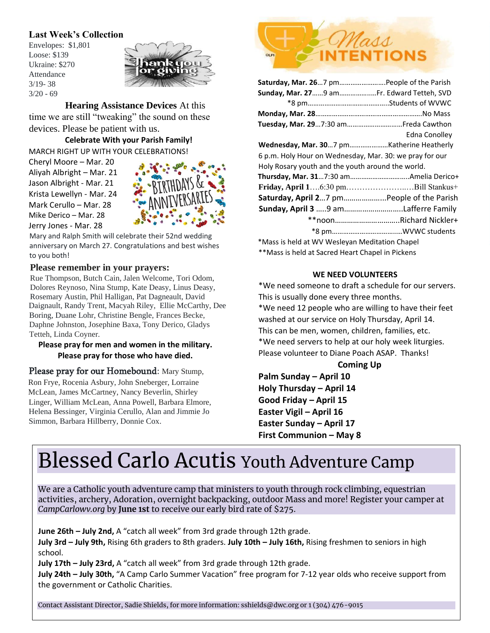#### **Last Week's Collection**

Envelopes: \$1,801 Loose: \$139 Ukraine: \$270 Attendance 3/19- 38 3/20 - 69



**Hearing Assistance Devices** At this time we are still "tweaking" the sound on these

devices. Please be patient with us. **Celebrate With your Parish Family!** 

MARCH RIGHT UP WITH YOUR CELEBRATIONS!

Cheryl Moore – Mar. 20 Aliyah Albright – Mar. 21 Jason Albright - Mar. 21 Krista Lewellyn - Mar. 24 Mark Cerullo – Mar. 28 Mike Derico – Mar. 28 Jerry Jones - Mar. 28



Mary and Ralph Smith will celebrate their 52nd wedding anniversary on March 27. Congratulations and best wishes to you both!

#### **Please remember in your prayers:**

Rue Thompson, Butch Cain, Jalen Welcome, Tori Odom, Dolores Reynoso, Nina Stump, Kate Deasy, Linus Deasy, Rosemary Austin, Phil Halligan, Pat Dagneault, David Daignault, Randy Trent, Macyah Riley, Ellie McCarthy, Dee Boring, Duane Lohr, Christine Bengle, Frances Becke, Daphne Johnston, Josephine Baxa, Tony Derico, Gladys Tetteh, Linda Coyner.

#### **Please pray for men and women in the military. Please pray for those who have died.**

#### Please pray for our Homebound: Mary Stump,

Ron Frye, Rocenia Asbury, John Sneberger, Lorraine McLean, James McCartney, Nancy Beverlin, Shirley Linger, William McLean, Anna Powell, Barbara Elmore, Helena Bessinger, Virginia Cerullo, Alan and Jimmie Jo Simmon, Barbara Hillberry, Donnie Cox.



| Saturday, Mar. 267 pmPeople of the Parish               |                        |  |  |  |
|---------------------------------------------------------|------------------------|--|--|--|
| Sunday, Mar. 279 amFr. Edward Tetteh, SVD               |                        |  |  |  |
|                                                         |                        |  |  |  |
|                                                         |                        |  |  |  |
| Tuesday, Mar. 297:30 am Freda Cawthon                   |                        |  |  |  |
|                                                         | Edna Conolley          |  |  |  |
|                                                         |                        |  |  |  |
| 6 p.m. Holy Hour on Wednesday, Mar. 30: we pray for our |                        |  |  |  |
| Holy Rosary youth and the youth around the world.       |                        |  |  |  |
|                                                         |                        |  |  |  |
| Friday, April 16:30 pmBill Stankus+                     |                        |  |  |  |
| Saturday, April 27 pmPeople of the Parish               |                        |  |  |  |
|                                                         |                        |  |  |  |
|                                                         | **noonRichard Nickler+ |  |  |  |
|                                                         |                        |  |  |  |
| *Mass is held at WV Wesleyan Meditation Chapel          |                        |  |  |  |

\*\*Mass is held at Sacred Heart Chapel in Pickens

#### **WE NEED VOLUNTEERS**

\*We need someone to draft a schedule for our servers. This is usually done every three months. \*We need 12 people who are willing to have their feet washed at our service on Holy Thursday, April 14. This can be men, women, children, families, etc. \*We need servers to help at our holy week liturgies. Please volunteer to Diane Poach ASAP. Thanks!

#### **Coming Up**

**Palm Sunday – April 10 Holy Thursday – April 14 Good Friday – April 15 Easter Vigil – April 16 Easter Sunday – April 17 First Communion – May 8**

# Blessed Carlo Acutis Youth Adventure Camp

We are a Catholic youth adventure camp that ministers to youth through rock climbing, equestrian activities, archery, Adoration, overnight backpacking, outdoor Mass and more! Register your camper at *CampCarlowv.org* by **June 1st** to receive our early bird rate of \$275.

**June 26th – July 2nd,** A "catch all week" from 3rd grade through 12th grade. **July 3rd – July 9th,** Rising 6th graders to 8th graders. **July 10th – July 16th,** Rising freshmen to seniors in high school.

**July 17th – July 23rd,** A "catch all week" from 3rd grade through 12th grade.

**July 24th – July 30th,** "A Camp Carlo Summer Vacation" free program for 7-12 year olds who receive support from the government or Catholic Charities.

Contact Assistant Director, Sadie Shields, for more information: sshields@dwc.org or 1 (304) 476-9015